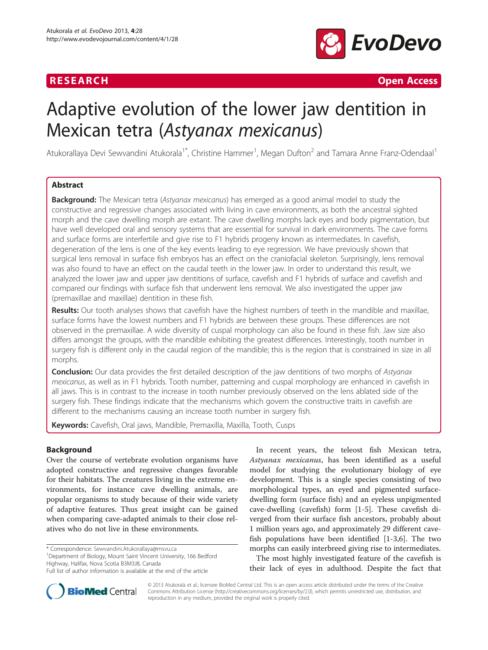

**RESEARCH CHINESE ARCH CHINESE ARCHITECT AND INCLUSIVE ARCHITECT ARCHITECT ARCHITECT ARCHITECT ARCHITECT ARCHITECT ARCHITECT ARCHITECT ARCHITECT ARCHITECT ARCHITECT ARCHITECT ARCHITECT ARCHITECT ARCHITECT ARCHITECT ARC** 

# Adaptive evolution of the lower jaw dentition in Mexican tetra (Astyanax mexicanus)

Atukorallaya Devi Sewvandini Atukorala<sup>1\*</sup>, Christine Hammer<sup>1</sup>, Megan Dufton<sup>2</sup> and Tamara Anne Franz-Odendaal<sup>1</sup>

# Abstract

**Background:** The Mexican tetra (Astyanax mexicanus) has emerged as a good animal model to study the constructive and regressive changes associated with living in cave environments, as both the ancestral sighted morph and the cave dwelling morph are extant. The cave dwelling morphs lack eyes and body pigmentation, but have well developed oral and sensory systems that are essential for survival in dark environments. The cave forms and surface forms are interfertile and give rise to F1 hybrids progeny known as intermediates. In cavefish, degeneration of the lens is one of the key events leading to eye regression. We have previously shown that surgical lens removal in surface fish embryos has an effect on the craniofacial skeleton. Surprisingly, lens removal was also found to have an effect on the caudal teeth in the lower jaw. In order to understand this result, we analyzed the lower jaw and upper jaw dentitions of surface, cavefish and F1 hybrids of surface and cavefish and compared our findings with surface fish that underwent lens removal. We also investigated the upper jaw (premaxillae and maxillae) dentition in these fish.

Results: Our tooth analyses shows that cavefish have the highest numbers of teeth in the mandible and maxillae, surface forms have the lowest numbers and F1 hybrids are between these groups. These differences are not observed in the premaxillae. A wide diversity of cuspal morphology can also be found in these fish. Jaw size also differs amongst the groups, with the mandible exhibiting the greatest differences. Interestingly, tooth number in surgery fish is different only in the caudal region of the mandible; this is the region that is constrained in size in all morphs.

**Conclusion:** Our data provides the first detailed description of the jaw dentitions of two morphs of Astyanax mexicanus, as well as in F1 hybrids. Tooth number, patterning and cuspal morphology are enhanced in cavefish in all jaws. This is in contrast to the increase in tooth number previously observed on the lens ablated side of the surgery fish. These findings indicate that the mechanisms which govern the constructive traits in cavefish are different to the mechanisms causing an increase tooth number in surgery fish.

Keywords: Cavefish, Oral jaws, Mandible, Premaxilla, Maxilla, Tooth, Cusps

# Background

Over the course of vertebrate evolution organisms have adopted constructive and regressive changes favorable for their habitats. The creatures living in the extreme environments, for instance cave dwelling animals, are popular organisms to study because of their wide variety of adaptive features. Thus great insight can be gained when comparing cave-adapted animals to their close relatives who do not live in these environments.

\* Correspondence: [Sewvandini.Atukorallaya@msvu.ca](mailto:Sewvandini.Atukorallaya@msvu.ca) <sup>1</sup>

<sup>1</sup>Department of Biology, Mount Saint Vincent University, 166 Bedford Highway, Halifax, Nova Scotia B3M3J8, Canada

In recent years, the teleost fish Mexican tetra, Astyanax mexicanus, has been identified as a useful model for studying the evolutionary biology of eye development. This is a single species consisting of two morphological types, an eyed and pigmented surfacedwelling form (surface fish) and an eyeless unpigmented cave-dwelling (cavefish) form [[1-5](#page-10-0)]. These cavefish diverged from their surface fish ancestors, probably about 1 million years ago, and approximately 29 different cavefish populations have been identified [[1](#page-10-0)-[3,6\]](#page-10-0). The two morphs can easily interbreed giving rise to intermediates.

The most highly investigated feature of the cavefish is their lack of eyes in adulthood. Despite the fact that



© 2013 Atukorala et al.; licensee BioMed Central Ltd. This is an open access article distributed under the terms of the Creative Commons Attribution License [\(http://creativecommons.org/licenses/by/2.0\)](http://creativecommons.org/licenses/by/2.0), which permits unrestricted use, distribution, and reproduction in any medium, provided the original work is properly cited.

Full list of author information is available at the end of the article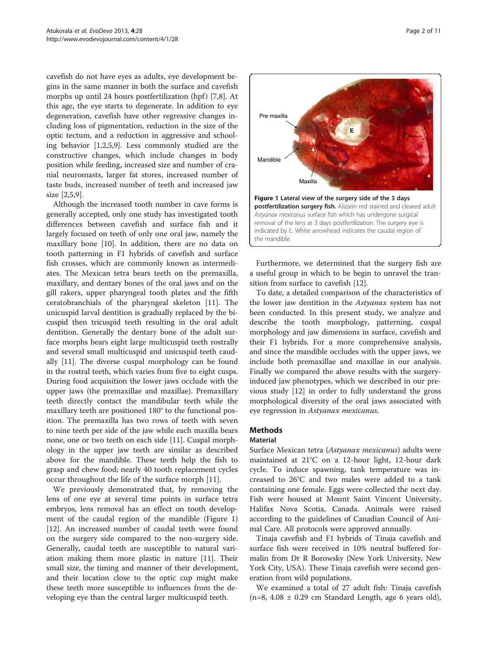<span id="page-1-0"></span>cavefish do not have eyes as adults, eye development begins in the same manner in both the surface and cavefish morphs up until 24 hours postfertilization (hpf)  $[7,8]$  $[7,8]$ . At this age, the eye starts to degenerate. In addition to eye degeneration, cavefish have other regressive changes including loss of pigmentation, reduction in the size of the optic tectum, and a reduction in aggressive and schooling behavior [[1,2,5,9\]](#page-10-0). Less commonly studied are the constructive changes, which include changes in body position while feeding, increased size and number of cranial neuromasts, larger fat stores, increased number of taste buds, increased number of teeth and increased jaw size [[2,5,9\]](#page-10-0).

Although the increased tooth number in cave forms is generally accepted, only one study has investigated tooth differences between cavefish and surface fish and it largely focused on teeth of only one oral jaw, namely the maxillary bone [[10\]](#page-10-0). In addition, there are no data on tooth patterning in F1 hybrids of cavefish and surface fish crosses, which are commonly known as intermediates. The Mexican tetra bears teeth on the premaxilla, maxillary, and dentary bones of the oral jaws and on the gill rakers, upper pharyngeal tooth plates and the fifth ceratobranchials of the pharyngeal skeleton [[11\]](#page-10-0). The unicuspid larval dentition is gradually replaced by the bicuspid then tricuspid teeth resulting in the oral adult dentition. Generally the dentary bone of the adult surface morphs bears eight large multicuspid teeth rostrally and several small multicuspid and unicuspid teeth caudally [\[11\]](#page-10-0). The diverse cuspal morphology can be found in the rostral teeth, which varies from five to eight cusps. During food acquisition the lower jaws occlude with the upper jaws (the premaxillae and maxillae). Premaxillary teeth directly contact the mandibular teeth while the maxillary teeth are positioned 180° to the functional position. The premaxilla has two rows of teeth with seven to nine teeth per side of the jaw while each maxilla bears none, one or two teeth on each side [\[11](#page-10-0)]. Cuspal morphology in the upper jaw teeth are similar as described above for the mandible. These teeth help the fish to grasp and chew food; nearly 40 tooth replacement cycles occur throughout the life of the surface morph [[11\]](#page-10-0).

We previously demonstrated that, by removing the lens of one eye at several time points in surface tetra embryos, lens removal has an effect on tooth development of the caudal region of the mandible (Figure 1) [[12\]](#page-10-0). An increased number of caudal teeth were found on the surgery side compared to the non-surgery side. Generally, caudal teeth are susceptible to natural variation making them more plastic in nature [\[11\]](#page-10-0). Their small size, the timing and manner of their development, and their location close to the optic cup might make these teeth more susceptible to influences from the developing eye than the central larger multicuspid teeth.



Furthermore, we determined that the surgery fish are a useful group in which to be begin to unravel the transition from surface to cavefish [\[12](#page-10-0)].

To date, a detailed comparison of the characteristics of the lower jaw dentition in the Astyanax system has not been conducted. In this present study, we analyze and describe the tooth morphology, patterning, cuspal morphology and jaw dimensions in surface, cavefish and their F1 hybrids. For a more comprehensive analysis, and since the mandible occludes with the upper jaws, we include both premaxillae and maxillae in our analysis. Finally we compared the above results with the surgeryinduced jaw phenotypes, which we described in our previous study [[12](#page-10-0)] in order to fully understand the gross morphological diversity of the oral jaws associated with eye regression in Astyanax mexicanus.

#### Methods

# Material

Surface Mexican tetra (Astyanax mexicanus) adults were maintained at 21°C on a 12-hour light, 12-hour dark cycle. To induce spawning, tank temperature was increased to 26°C and two males were added to a tank containing one female. Eggs were collected the next day. Fish were housed at Mount Saint Vincent University, Halifax Nova Scotia, Canada. Animals were raised according to the guidelines of Canadian Council of Animal Care. All protocols were approved annually.

Tinaja cavefish and F1 hybrids of Tinaja cavefish and surface fish were received in 10% neutral buffered formalin from Dr R Borowsky (New York University, New York City, USA). These Tinaja cavefish were second generation from wild populations.

We examined a total of 27 adult fish: Tinaja cavefish  $(n=8, 4.08 \pm 0.29 \text{ cm}$  Standard Length, age 6 years old),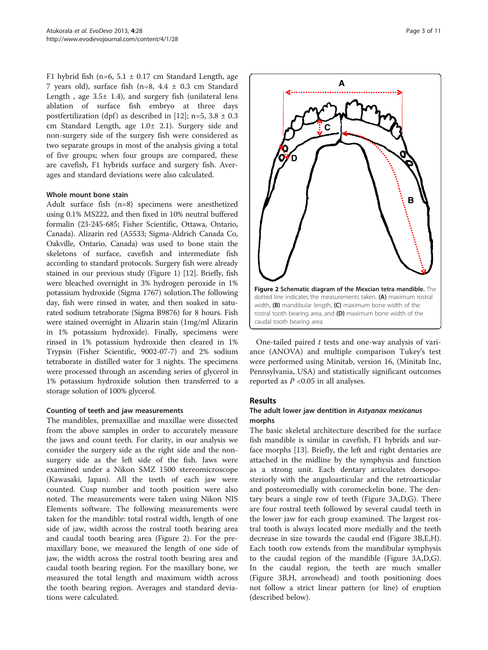<span id="page-2-0"></span>F1 hybrid fish (n=6,  $5.1 \pm 0.17$  cm Standard Length, age 7 years old), surface fish (n=8, 4.4 ± 0.3 cm Standard Length, age  $3.5 \pm 1.4$ ), and surgery fish (unilateral lens ablation of surface fish embryo at three days postfertilization (dpf) as described in [\[12\]](#page-10-0); n=5,  $3.8 \pm 0.3$ cm Standard Length, age 1.0± 2.1). Surgery side and non-surgery side of the surgery fish were considered as two separate groups in most of the analysis giving a total of five groups; when four groups are compared, these are cavefish, F1 hybrids surface and surgery fish. Averages and standard deviations were also calculated.

#### Whole mount bone stain

Adult surface fish (n=8) specimens were anesthetized using 0.1% MS222, and then fixed in 10% neutral buffered formalin (23-245-685; Fisher Scientific, Ottawa, Ontario, Canada). Alizarin red (A5533; Sigma-Aldrich Canada Co, Oakville, Ontario, Canada) was used to bone stain the skeletons of surface, cavefish and intermediate fish according to standard protocols. Surgery fish were already stained in our previous study (Figure [1\)](#page-1-0) [[12](#page-10-0)]. Briefly, fish were bleached overnight in 3% hydrogen peroxide in 1% potassium hydroxide (Sigma 1767) solution.The following day, fish were rinsed in water, and then soaked in saturated sodium tetraborate (Sigma B9876) for 8 hours. Fish were stained overnight in Alizarin stain (1mg/ml Alizarin in 1% potassium hydroxide). Finally, specimens were rinsed in 1% potassium hydroxide then cleared in 1% Trypsin (Fisher Scientific, 9002-07-7) and 2% sodium tetraborate in distilled water for 3 nights. The specimens were processed through an ascending series of glycerol in 1% potassium hydroxide solution then transferred to a storage solution of 100% glycerol.

#### Counting of teeth and jaw measurements

The mandibles, premaxillae and maxillae were dissected from the above samples in order to accurately measure the jaws and count teeth. For clarity, in our analysis we consider the surgery side as the right side and the nonsurgery side as the left side of the fish. Jaws were examined under a Nikon SMZ 1500 stereomicroscope (Kawasaki, Japan). All the teeth of each jaw were counted. Cusp number and tooth position were also noted. The measurements were taken using Nikon NIS Elements software. The following measurements were taken for the mandible: total rostral width, length of one side of jaw, width across the rostral tooth bearing area and caudal tooth bearing area (Figure 2). For the premaxillary bone, we measured the length of one side of jaw, the width across the rostral tooth bearing area and caudal tooth bearing region. For the maxillary bone, we measured the total length and maximum width across the tooth bearing region. Averages and standard deviations were calculated.



One-tailed paired  $t$  tests and one-way analysis of variance (ANOVA) and multiple comparison Tukey's test were performed using Minitab, version 16, (Minitab Inc, Pennsylvania, USA) and statistically significant outcomes reported as  $P < 0.05$  in all analyses.

# Results

# The adult lower jaw dentition in Astyanax mexicanus morphs

The basic skeletal architecture described for the surface fish mandible is similar in cavefish, F1 hybrids and surface morphs [[13\]](#page-10-0). Briefly, the left and right dentaries are attached in the midline by the symphysis and function as a strong unit. Each dentary articulates dorsoposteriorly with the anguloarticular and the retroarticular and posteromedially with coromeckelin bone. The dentary bears a single row of teeth (Figure [3](#page-3-0)A,D,G). There are four rostral teeth followed by several caudal teeth in the lower jaw for each group examined. The largest rostral tooth is always located more medially and the teeth decrease in size towards the caudal end (Figure [3B](#page-3-0),E,H). Each tooth row extends from the mandibular symphysis to the caudal region of the mandible (Figure [3A](#page-3-0),D,G). In the caudal region, the teeth are much smaller (Figure [3](#page-3-0)B,H, arrowhead) and tooth positioning does not follow a strict linear pattern (or line) of eruption (described below).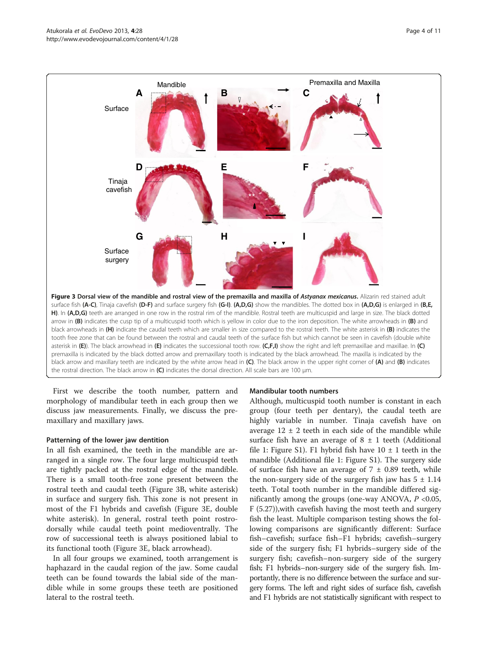<span id="page-3-0"></span>

First we describe the tooth number, pattern and morphology of mandibular teeth in each group then we discuss jaw measurements. Finally, we discuss the premaxillary and maxillary jaws.

#### Patterning of the lower jaw dentition

In all fish examined, the teeth in the mandible are arranged in a single row. The four large multicuspid teeth are tightly packed at the rostral edge of the mandible. There is a small tooth-free zone present between the rostral teeth and caudal teeth (Figure 3B, white asterisk) in surface and surgery fish. This zone is not present in most of the F1 hybrids and cavefish (Figure 3E, double white asterisk). In general, rostral teeth point rostrodorsally while caudal teeth point medioventrally. The row of successional teeth is always positioned labial to its functional tooth (Figure 3E, black arrowhead).

In all four groups we examined, tooth arrangement is haphazard in the caudal region of the jaw. Some caudal teeth can be found towards the labial side of the mandible while in some groups these teeth are positioned lateral to the rostral teeth.

## Mandibular tooth numbers

Although, multicuspid tooth number is constant in each group (four teeth per dentary), the caudal teeth are highly variable in number. Tinaja cavefish have on average  $12 \pm 2$  teeth in each side of the mandible while surface fish have an average of  $8 \pm 1$  teeth (Additional file [1](#page-9-0): Figure S1). F1 hybrid fish have  $10 \pm 1$  teeth in the mandible (Additional file [1](#page-9-0): Figure S1). The surgery side of surface fish have an average of  $7 \pm 0.89$  teeth, while the non-surgery side of the surgery fish jaw has  $5 \pm 1.14$ teeth. Total tooth number in the mandible differed significantly among the groups (one-way ANOVA,  $P < 0.05$ , F (5.27)),with cavefish having the most teeth and surgery fish the least. Multiple comparison testing shows the following comparisons are significantly different: Surface fish–cavefish; surface fish–F1 hybrids; cavefish–surgery side of the surgery fish; F1 hybrids–surgery side of the surgery fish; cavefish–non-surgery side of the surgery fish; F1 hybrids–non-surgery side of the surgery fish. Importantly, there is no difference between the surface and surgery forms. The left and right sides of surface fish, cavefish and F1 hybrids are not statistically significant with respect to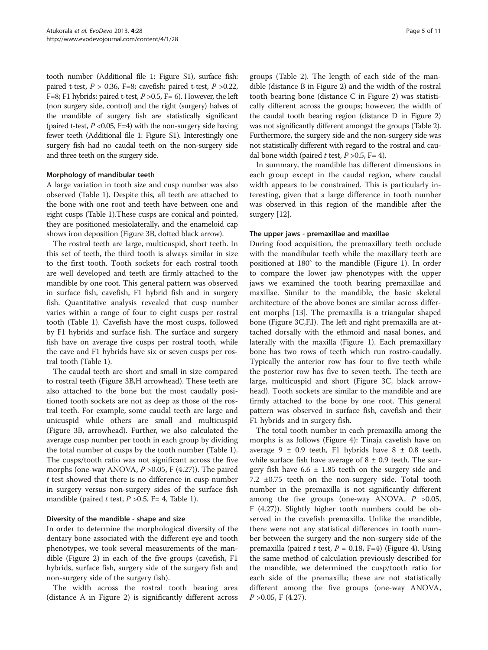tooth number (Additional file [1](#page-9-0): Figure S1), surface fish: paired t-test,  $P > 0.36$ , F=8; cavefish: paired t-test,  $P > 0.22$ , F=8; F1 hybrids: paired t-test,  $P > 0.5$ , F= 6). However, the left (non surgery side, control) and the right (surgery) halves of the mandible of surgery fish are statistically significant (paired t-test,  $P \le 0.05$ , F=4) with the non-surgery side having fewer teeth (Additional file [1](#page-9-0): Figure S1). Interestingly one surgery fish had no caudal teeth on the non-surgery side and three teeth on the surgery side.

#### Morphology of mandibular teeth

A large variation in tooth size and cusp number was also observed (Table [1](#page-5-0)). Despite this, all teeth are attached to the bone with one root and teeth have between one and eight cusps (Table [1\)](#page-5-0).These cusps are conical and pointed, they are positioned mesiolaterally, and the enameloid cap shows iron deposition (Figure [3B](#page-3-0), dotted black arrow).

The rostral teeth are large, multicuspid, short teeth. In this set of teeth, the third tooth is always similar in size to the first tooth. Tooth sockets for each rostral tooth are well developed and teeth are firmly attached to the mandible by one root. This general pattern was observed in surface fish, cavefish, F1 hybrid fish and in surgery fish. Quantitative analysis revealed that cusp number varies within a range of four to eight cusps per rostral tooth (Table [1\)](#page-5-0). Cavefish have the most cusps, followed by F1 hybrids and surface fish. The surface and surgery fish have on average five cusps per rostral tooth, while the cave and F1 hybrids have six or seven cusps per rostral tooth (Table [1](#page-5-0)).

The caudal teeth are short and small in size compared to rostral teeth (Figure [3](#page-3-0)B,H arrowhead). These teeth are also attached to the bone but the most caudally positioned tooth sockets are not as deep as those of the rostral teeth. For example, some caudal teeth are large and unicuspid while others are small and multicuspid (Figure [3B](#page-3-0), arrowhead). Further, we also calculated the average cusp number per tooth in each group by dividing the total number of cusps by the tooth number (Table [1](#page-5-0)). The cusps/tooth ratio was not significant across the five morphs (one-way ANOVA,  $P > 0.05$ , F (4.27)). The paired t test showed that there is no difference in cusp number in surgery versus non-surgery sides of the surface fish mandible (paired t test,  $P > 0.5$ , F= 4, Table [1\)](#page-5-0).

#### Diversity of the mandible - shape and size

In order to determine the morphological diversity of the dentary bone associated with the different eye and tooth phenotypes, we took several measurements of the mandible (Figure [2](#page-2-0)) in each of the five groups (cavefish, F1 hybrids, surface fish, surgery side of the surgery fish and non-surgery side of the surgery fish).

The width across the rostral tooth bearing area (distance A in Figure [2\)](#page-2-0) is significantly different across

groups (Table [2\)](#page-6-0). The length of each side of the mandible (distance B in Figure [2\)](#page-2-0) and the width of the rostral tooth bearing bone (distance C in Figure [2](#page-2-0)) was statistically different across the groups; however, the width of the caudal tooth bearing region (distance D in Figure [2](#page-2-0)) was not significantly different amongst the groups (Table [2](#page-6-0)). Furthermore, the surgery side and the non-surgery side was not statistically different with regard to the rostral and caudal bone width (paired t test,  $P > 0.5$ , F= 4).

In summary, the mandible has different dimensions in each group except in the caudal region, where caudal width appears to be constrained. This is particularly interesting, given that a large difference in tooth number was observed in this region of the mandible after the surgery [[12\]](#page-10-0).

#### The upper jaws - premaxillae and maxillae

During food acquisition, the premaxillary teeth occlude with the mandibular teeth while the maxillary teeth are positioned at 180° to the mandible (Figure [1](#page-1-0)). In order to compare the lower jaw phenotypes with the upper jaws we examined the tooth bearing premaxillae and maxillae. Similar to the mandible, the basic skeletal architecture of the above bones are similar across different morphs [[13](#page-10-0)]. The premaxilla is a triangular shaped bone (Figure [3](#page-3-0)C,F,I). The left and right premaxilla are attached dorsally with the ethmoid and nasal bones, and laterally with the maxilla (Figure [1\)](#page-1-0). Each premaxillary bone has two rows of teeth which run rostro-caudally. Typically the anterior row has four to five teeth while the posterior row has five to seven teeth. The teeth are large, multicuspid and short (Figure [3C](#page-3-0), black arrowhead). Tooth sockets are similar to the mandible and are firmly attached to the bone by one root. This general pattern was observed in surface fish, cavefish and their F1 hybrids and in surgery fish.

The total tooth number in each premaxilla among the morphs is as follows (Figure [4\)](#page-7-0): Tinaja cavefish have on average  $9 \pm 0.9$  teeth, F1 hybrids have  $8 \pm 0.8$  teeth, while surface fish have average of  $8 \pm 0.9$  teeth. The surgery fish have  $6.6 \pm 1.85$  teeth on the surgery side and 7.2 ±0.75 teeth on the non-surgery side. Total tooth number in the premaxilla is not significantly different among the five groups (one-way ANOVA,  $P > 0.05$ , F (4.27)). Slightly higher tooth numbers could be observed in the cavefish premaxilla. Unlike the mandible, there were not any statistical differences in tooth number between the surgery and the non-surgery side of the premaxilla (paired t test,  $P = 0.18$ , F=4) (Figure [4\)](#page-7-0). Using the same method of calculation previously described for the mandible, we determined the cusp/tooth ratio for each side of the premaxilla; these are not statistically different among the five groups (one-way ANOVA,  $P > 0.05$ , F (4.27).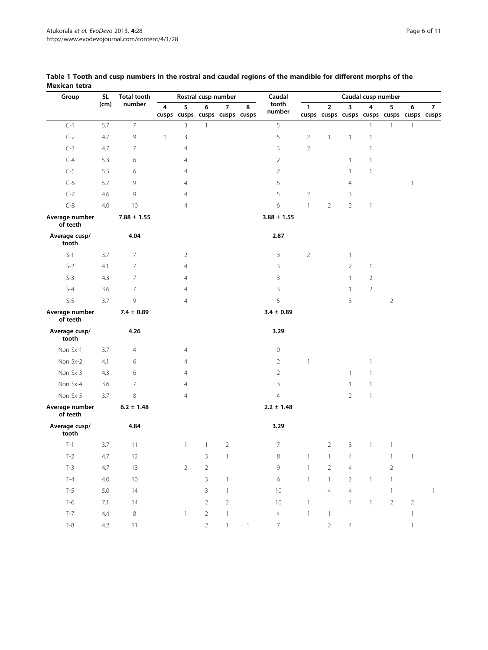| Group                      | <b>SL</b> | <b>Total tooth</b><br>number | Rostral cusp number |                |                                    |                        | Caudal | Caudal cusp number |                     |                |                |                                                |                |                |                |
|----------------------------|-----------|------------------------------|---------------------|----------------|------------------------------------|------------------------|--------|--------------------|---------------------|----------------|----------------|------------------------------------------------|----------------|----------------|----------------|
|                            | (cm)      |                              | 4                   | 5              | 6<br>cusps cusps cusps cusps cusps | $\overline{7}$         | 8      | tooth<br>number    | $\mathbf{1}$        | $\overline{2}$ | 3              | 4<br>cusps cusps cusps cusps cusps cusps cusps | 5              | 6              | $\overline{7}$ |
| $C-1$                      | 5.7       | $\overline{7}$               |                     | 3              | $\mathbf{1}$                       |                        |        | 5                  |                     |                |                | $\mathbf{1}$                                   | $\mathbf{1}$   | $\mathbf{1}$   |                |
| $C-2$                      | 4.7       | 9                            | $\mathbf{1}$        | 3              |                                    |                        |        | 5                  | $\overline{2}$      | $\mathbf{1}$   | $\mathbf{1}$   | $\overline{1}$                                 |                |                |                |
| $C-3$                      | 4.7       | 7                            |                     | $\overline{4}$ |                                    |                        |        | 3                  | $\overline{2}$      |                |                | 1                                              |                |                |                |
| $C-4$                      | 5.3       | 6                            |                     | 4              |                                    |                        |        | $\overline{2}$     |                     |                | $\mathbf{1}$   | 1                                              |                |                |                |
| $C-5$                      | 5.5       | 6                            |                     | $\overline{4}$ |                                    |                        |        | $\overline{2}$     |                     |                | $\mathbf{1}$   | 1                                              |                |                |                |
| $C-6$                      | 5.7       | 9                            |                     | $\overline{4}$ |                                    |                        |        | 5                  |                     |                | $\overline{4}$ |                                                |                | $\overline{1}$ |                |
| $C-7$                      | 4.6       | 9                            |                     | $\overline{4}$ |                                    |                        |        | 5                  | $\overline{2}$      |                | 3              |                                                |                |                |                |
| $C-8$                      | 4.0       | 10                           |                     | $\overline{4}$ |                                    |                        |        | 6                  | $\mathbf{1}$        | $\overline{2}$ | $\overline{2}$ | $\mathbf{1}$                                   |                |                |                |
| Average number<br>of teeth |           | $7.88 \pm 1.55$              |                     |                |                                    |                        |        | $3.88 \pm 1.55$    |                     |                |                |                                                |                |                |                |
| Average cusp/<br>tooth     |           | 4.04                         |                     |                |                                    |                        |        | 2.87               |                     |                |                |                                                |                |                |                |
| $S-1$                      | 3.7       | 7                            |                     | $\overline{2}$ |                                    |                        |        | 3                  | $\overline{2}$      |                | $\mathbf{1}$   |                                                |                |                |                |
| $S-2$                      | 4.1       | 7                            |                     | $\overline{4}$ |                                    |                        |        | 3                  |                     |                | $\overline{2}$ | $\mathbf{1}$                                   |                |                |                |
| $S-3$                      | 4.3       | 7                            |                     | $\overline{4}$ |                                    |                        |        | 3                  |                     |                | $\mathbf{1}$   | $\overline{2}$                                 |                |                |                |
| $S-4$                      | 3.6       | 7                            |                     | $\overline{4}$ |                                    |                        |        | 3                  |                     |                | $\mathbf{1}$   | $\overline{2}$                                 |                |                |                |
| $S-5$                      | 3.7       | 9                            |                     | $\overline{4}$ |                                    |                        |        | 5                  |                     |                | 3              |                                                | $\overline{2}$ |                |                |
| Average number<br>of teeth |           | $7.4 \pm 0.89$               |                     |                |                                    |                        |        | $3.4 \pm 0.89$     |                     |                |                |                                                |                |                |                |
| Average cusp/<br>tooth     |           | 4.26                         |                     |                |                                    |                        |        | 3.29               |                     |                |                |                                                |                |                |                |
| Non Sx-1                   | 3.7       | 4                            |                     | $\overline{4}$ |                                    |                        |        | $\mathbf 0$        |                     |                |                |                                                |                |                |                |
| Non Sx-2                   | 4.1       | 6                            |                     | $\overline{4}$ |                                    |                        |        | $\overline{2}$     | $\mathbf{1}$        |                |                | 1                                              |                |                |                |
| Non Sx-3                   | 4.3       | 6                            |                     | $\overline{4}$ |                                    |                        |        | $\overline{2}$     |                     |                | $\mathbf{1}$   | $\mathbf{1}$                                   |                |                |                |
| Non Sx-4                   | 3.6       | $\overline{7}$               |                     | $\overline{4}$ |                                    |                        |        | 3                  |                     |                | $\mathbf{1}$   | $\mathbf{1}$                                   |                |                |                |
| Non Sx-5                   | 3.7       | 8                            |                     | $\overline{4}$ |                                    |                        |        | $\overline{4}$     |                     |                | $\overline{2}$ | $\mathbf{1}$                                   |                |                |                |
| Average number<br>of teeth |           | $6.2 \pm 1.48$               |                     |                |                                    |                        |        | $2.2 \pm 1.48$     |                     |                |                |                                                |                |                |                |
| Average cusp/<br>tooth     |           | 4.84                         |                     |                |                                    |                        |        | 3.29               |                     |                |                |                                                |                |                |                |
| $T-1$                      | 3.7       | 11                           |                     | $\mathbf{1}$   | $\mathbf{1}$                       | $\overline{2}$         |        | $\overline{7}$     |                     | $\overline{2}$ | $\mathbf{3}$   | $\mathbf{1}$                                   | $\mathbf{1}$   |                |                |
| $T-2$                      | 4.7       | 12                           |                     |                | 3 <sup>7</sup>                     | $\overline{1}$         |        | 8                  | $1 \quad 1 \quad 4$ |                |                |                                                |                | $1 \quad 1$    |                |
| $T-3$                      | 4.7       | 13                           |                     | $\overline{2}$ | $\overline{2}$                     |                        |        | $\mathsf 9$        | $\overline{1}$      | $\overline{2}$ | $\overline{4}$ |                                                | $\overline{2}$ |                |                |
| $T-4$                      | $4.0\,$   | 10                           |                     |                | $\mathbf{3}$                       | $\overline{1}$         |        | 6                  | $\overline{1}$      | $\mathbf{1}$   | $\overline{2}$ | $\overline{1}$                                 | $\mathbf{1}$   |                |                |
| $T-5$                      | $5.0\,$   | 14                           |                     |                | $\mathbf{3}$                       | $\overline{1}$         |        | $10\,$             |                     | $\overline{4}$ | $\overline{4}$ |                                                | $\mathbf{1}$   |                | $\overline{1}$ |
| $T-6$                      | 7.1       | 14                           |                     |                | $\overline{2}$                     | $\overline{2}$         |        | 10                 | $\overline{1}$      |                | $\overline{4}$ | $\overline{1}$                                 | $\overline{2}$ | $\overline{2}$ |                |
| $T-7$                      | 4.4       | 8                            |                     | $\mathbf{1}$   | $\overline{2}$                     | $\overline{1}$         |        | $\overline{4}$     | $\overline{1}$      | $\mathbf{1}$   |                |                                                |                | $\overline{1}$ |                |
| $T-8$                      | 4.2       | 11                           |                     |                | $\overline{2}$                     | $\left  \cdot \right $ | $-1$   | 7 <sup>7</sup>     |                     | $\overline{2}$ | $\overline{4}$ |                                                |                | $\overline{1}$ |                |

## <span id="page-5-0"></span>Table 1 Tooth and cusp numbers in the rostral and caudal regions of the mandible for different morphs of the Mexican tetra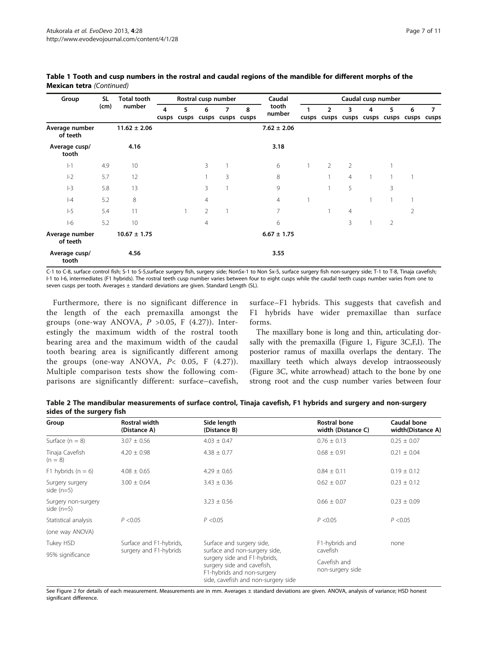| Group                      | <b>SL</b><br>(cm) | <b>Total tooth</b><br>number | Rostral cusp number |   |                                    |                | Caudal | Caudal cusp number |  |                                                       |                |    |   |   |            |
|----------------------------|-------------------|------------------------------|---------------------|---|------------------------------------|----------------|--------|--------------------|--|-------------------------------------------------------|----------------|----|---|---|------------|
|                            |                   |                              | 4                   | 5 | 6<br>cusps cusps cusps cusps cusps | $\overline{7}$ | 8      | tooth<br>number    |  | $\overline{2}$<br>cusps cusps cusps cusps cusps cusps | 3              | 4  | 5 | 6 | 7<br>cusps |
| Average number<br>of teeth |                   | $11.62 \pm 2.06$             |                     |   |                                    |                |        | $7.62 \pm 2.06$    |  |                                                       |                |    |   |   |            |
| Average cusp/<br>tooth     |                   | 4.16                         |                     |   |                                    |                |        | 3.18               |  |                                                       |                |    |   |   |            |
| $ -1$                      | 4.9               | 10                           |                     |   | 3                                  |                |        | 6                  |  | $\overline{2}$                                        | $\overline{2}$ |    |   |   |            |
| $ -2$                      | 5.7               | 12                           |                     |   |                                    | 3              |        | 8                  |  |                                                       | $\overline{4}$ | -1 |   |   |            |
| $ -3$                      | 5.8               | 13                           |                     |   | 3                                  |                |        | 9                  |  |                                                       | 5              |    | 3 |   |            |
| $ -4$                      | 5.2               | 8                            |                     |   | 4                                  |                |        | $\overline{4}$     |  |                                                       |                |    |   |   |            |
| $-5$                       | 5.4               | 11                           |                     |   | 2                                  |                |        | 7                  |  |                                                       | $\overline{4}$ |    |   | 2 |            |
| $ -6$                      | 5.2               | 10                           |                     |   | 4                                  |                |        | 6                  |  |                                                       | 3              |    | 2 |   |            |
| Average number<br>of teeth |                   | $10.67 \pm 1.75$             |                     |   |                                    |                |        | $6.67 \pm 1.75$    |  |                                                       |                |    |   |   |            |
| Average cusp/<br>tooth     |                   | 4.56                         |                     |   |                                    |                |        | 3.55               |  |                                                       |                |    |   |   |            |

<span id="page-6-0"></span>Table 1 Tooth and cusp numbers in the rostral and caudal regions of the mandible for different morphs of the Mexican tetra (Continued)

C-1 to C-8, surface control fish; S-1 to S-5,surface surgery fish, surgery side; NonSx-1 to Non Sx-5, surface surgery fish non-surgery side; T-1 to T-8, Tinaja cavefish; I-1 to I-6, intermediates (F1 hybrids). The rostral teeth cusp number varies between four to eight cusps while the caudal teeth cusps number varies from one to seven cusps per tooth. Averages ± standard deviations are given. Standard Length (SL).

Furthermore, there is no significant difference in the length of the each premaxilla amongst the groups (one-way ANOVA,  $P > 0.05$ , F (4.27)). Interestingly the maximum width of the rostral tooth bearing area and the maximum width of the caudal tooth bearing area is significantly different among the groups (one-way ANOVA,  $P<sub>0.05</sub>$ , F (4.27)). Multiple comparison tests show the following comparisons are significantly different: surface–cavefish,

surface–F1 hybrids. This suggests that cavefish and F1 hybrids have wider premaxillae than surface forms.

The maxillary bone is long and thin, articulating dorsally with the premaxilla (Figure [1](#page-1-0), Figure [3C](#page-3-0),F,I). The posterior ramus of maxilla overlaps the dentary. The maxillary teeth which always develop intraosseously (Figure [3](#page-3-0)C, white arrowhead) attach to the bone by one strong root and the cusp number varies between four

Table 2 The mandibular measurements of surface control, Tinaja cavefish, F1 hybrids and surgery and non-surgery sides of the surgery fish

| Group                               | Rostral width<br>(Distance A) | Side length<br>(Distance B)                                                                                                     | <b>Rostral bone</b><br>width (Distance C) | Caudal bone<br>width(Distance A) |  |
|-------------------------------------|-------------------------------|---------------------------------------------------------------------------------------------------------------------------------|-------------------------------------------|----------------------------------|--|
| Surface $(n = 8)$                   | $3.07 \pm 0.56$               | $4.03 \pm 0.47$                                                                                                                 | $0.76 \pm 0.13$                           | $0.25 \pm 0.07$                  |  |
| Tinaja Cavefish<br>$(n = 8)$        | $4.20 \pm 0.98$               | $4.38 \pm 0.77$                                                                                                                 | $0.68 \pm 0.91$                           | $0.21 \pm 0.04$                  |  |
| F1 hybrids $(n = 6)$                | $4.08 \pm 0.65$               | $4.29 \pm 0.65$                                                                                                                 | $0.84 \pm 0.11$                           | $0.19 \pm 0.12$                  |  |
| Surgery surgery<br>side $(n=5)$     | $3.00 \pm 0.64$               | $3.43 \pm 0.36$                                                                                                                 | $0.62 \pm 0.07$                           | $0.23 \pm 0.12$                  |  |
| Surgery non-surgery<br>side $(n=5)$ |                               | $3.23 \pm 0.56$                                                                                                                 | $0.66 \pm 0.07$                           | $0.23 \pm 0.09$                  |  |
| Statistical analysis                | P < 0.05                      | P < 0.05                                                                                                                        | P < 0.05                                  | P < 0.05                         |  |
| (one way ANOVA)                     |                               |                                                                                                                                 |                                           |                                  |  |
| Tukey HSD                           | Surface and F1-hybrids,       | Surface and surgery side,                                                                                                       | F1-hybrids and                            | none                             |  |
| 95% significance                    | surgery and F1-hybrids        | surface and non-surgery side,                                                                                                   | cavefish                                  |                                  |  |
|                                     |                               | surgery side and F1-hybrids,<br>surgery side and cavefish,<br>F1-hybrids and non-surgery<br>side, cavefish and non-surgery side | Cavefish and<br>non-surgery side          |                                  |  |

See Figure [2](#page-2-0) for details of each measurement. Measurements are in mm. Averages ± standard deviations are given. ANOVA, analysis of variance; HSD honest significant difference.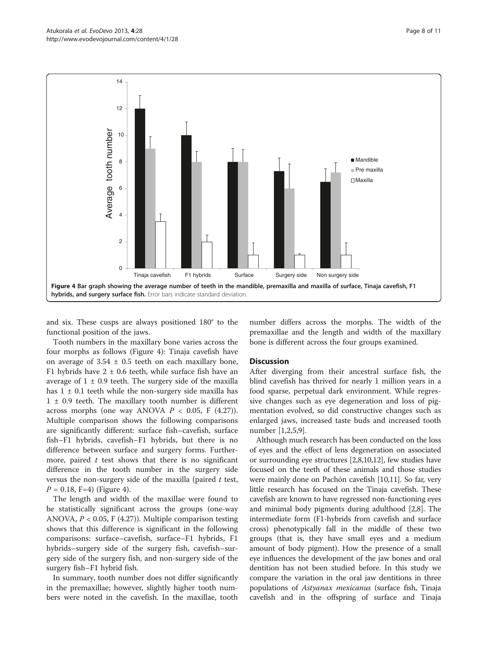<span id="page-7-0"></span>

and six. These cusps are always positioned 180° to the functional position of the jaws.

Tooth numbers in the maxillary bone varies across the four morphs as follows (Figure 4): Tinaja cavefish have on average of  $3.54 \pm 0.5$  teeth on each maxillary bone, F1 hybrids have  $2 \pm 0.6$  teeth, while surface fish have an average of  $1 \pm 0.9$  teeth. The surgery side of the maxilla has  $1 \pm 0.1$  teeth while the non-surgery side maxilla has  $1 \pm 0.9$  teeth. The maxillary tooth number is different across morphs (one way ANOVA  $P < 0.05$ , F (4.27)). Multiple comparison shows the following comparisons are significantly different: surface fish–cavefish, surface fish–F1 hybrids, cavefish–F1 hybrids, but there is no difference between surface and surgery forms. Furthermore, paired  $t$  test shows that there is no significant difference in the tooth number in the surgery side versus the non-surgery side of the maxilla (paired  $t$  test,  $P = 0.18$ , F=4) (Figure 4).

The length and width of the maxillae were found to be statistically significant across the groups (one-way ANOVA,  $P < 0.05$ , F (4.27)). Multiple comparison testing shows that this difference is significant in the following comparisons: surface–cavefish, surface–F1 hybrids, F1 hybrids–surgery side of the surgery fish, cavefish–surgery side of the surgery fish, and non-surgery side of the surgery fish–F1 hybrid fish.

In summary, tooth number does not differ significantly in the premaxillae; however, slightly higher tooth numbers were noted in the cavefish. In the maxillae, tooth number differs across the morphs. The width of the premaxillae and the length and width of the maxillary bone is different across the four groups examined.

#### **Discussion**

After diverging from their ancestral surface fish, the blind cavefish has thrived for nearly 1 million years in a food sparse, perpetual dark environment. While regressive changes such as eye degeneration and loss of pigmentation evolved, so did constructive changes such as enlarged jaws, increased taste buds and increased tooth number [[1,2,5,9](#page-10-0)].

Although much research has been conducted on the loss of eyes and the effect of lens degeneration on associated or surrounding eye structures [[2,8,10,12](#page-10-0)], few studies have focused on the teeth of these animals and those studies were mainly done on Pachón cavefish [\[10,11](#page-10-0)]. So far, very little research has focused on the Tinaja cavefish. These cavefish are known to have regressed non-functioning eyes and minimal body pigments during adulthood [\[2,8\]](#page-10-0). The intermediate form (F1-hybrids from cavefish and surface cross) phenotypically fall in the middle of these two groups (that is, they have small eyes and a medium amount of body pigment). How the presence of a small eye influences the development of the jaw bones and oral dentition has not been studied before. In this study we compare the variation in the oral jaw dentitions in three populations of Astyanax mexicanus (surface fish, Tinaja cavefish and in the offspring of surface and Tinaja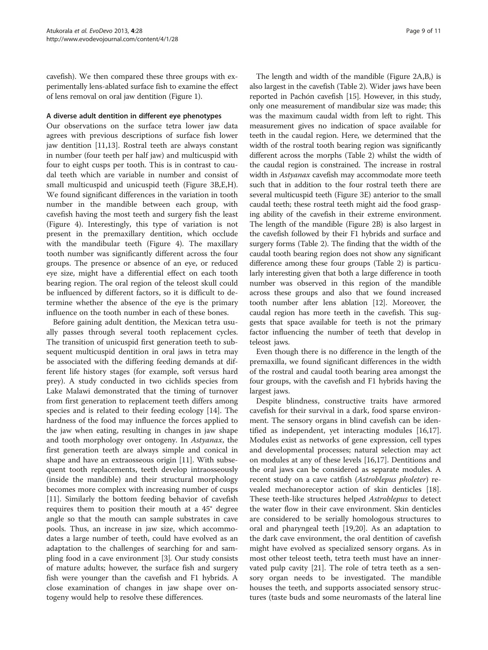cavefish). We then compared these three groups with experimentally lens-ablated surface fish to examine the effect of lens removal on oral jaw dentition (Figure [1\)](#page-1-0).

## A diverse adult dentition in different eye phenotypes

Our observations on the surface tetra lower jaw data agrees with previous descriptions of surface fish lower jaw dentition [\[11,13\]](#page-10-0). Rostral teeth are always constant in number (four teeth per half jaw) and multicuspid with four to eight cusps per tooth. This is in contrast to caudal teeth which are variable in number and consist of small multicuspid and unicuspid teeth (Figure [3B](#page-3-0),E,H). We found significant differences in the variation in tooth number in the mandible between each group, with cavefish having the most teeth and surgery fish the least (Figure [4](#page-7-0)). Interestingly, this type of variation is not present in the premaxillary dentition, which occlude with the mandibular teeth (Figure [4](#page-7-0)). The maxillary tooth number was significantly different across the four groups. The presence or absence of an eye, or reduced eye size, might have a differential effect on each tooth bearing region. The oral region of the teleost skull could be influenced by different factors, so it is difficult to determine whether the absence of the eye is the primary influence on the tooth number in each of these bones.

Before gaining adult dentition, the Mexican tetra usually passes through several tooth replacement cycles. The transition of unicuspid first generation teeth to subsequent multicuspid dentition in oral jaws in tetra may be associated with the differing feeding demands at different life history stages (for example, soft versus hard prey). A study conducted in two cichlids species from Lake Malawi demonstrated that the timing of turnover from first generation to replacement teeth differs among species and is related to their feeding ecology [[14](#page-10-0)]. The hardness of the food may influence the forces applied to the jaw when eating, resulting in changes in jaw shape and tooth morphology over ontogeny. In Astyanax, the first generation teeth are always simple and conical in shape and have an extraosseous origin [[11\]](#page-10-0). With subsequent tooth replacements, teeth develop intraosseously (inside the mandible) and their structural morphology becomes more complex with increasing number of cusps [[11\]](#page-10-0). Similarly the bottom feeding behavior of cavefish requires them to position their mouth at a 45° degree angle so that the mouth can sample substrates in cave pools. Thus, an increase in jaw size, which accommodates a large number of teeth, could have evolved as an adaptation to the challenges of searching for and sampling food in a cave environment [\[3\]](#page-10-0). Our study consists of mature adults; however, the surface fish and surgery fish were younger than the cavefish and F1 hybrids. A close examination of changes in jaw shape over ontogeny would help to resolve these differences.

The length and width of the mandible (Figure [2A](#page-2-0),B,) is also largest in the cavefish (Table [2](#page-6-0)). Wider jaws have been reported in Pachón cavefish [[15](#page-10-0)]. However, in this study, only one measurement of mandibular size was made; this was the maximum caudal width from left to right. This measurement gives no indication of space available for teeth in the caudal region. Here, we determined that the width of the rostral tooth bearing region was significantly different across the morphs (Table [2](#page-6-0)) whilst the width of the caudal region is constrained. The increase in rostral width in Astyanax cavefish may accommodate more teeth such that in addition to the four rostral teeth there are several multicuspid teeth (Figure [3](#page-3-0)E) anterior to the small caudal teeth; these rostral teeth might aid the food grasping ability of the cavefish in their extreme environment. The length of the mandible (Figure [2](#page-2-0)B) is also largest in the cavefish followed by their F1 hybrids and surface and surgery forms (Table [2](#page-6-0)). The finding that the width of the caudal tooth bearing region does not show any significant difference among these four groups (Table [2\)](#page-6-0) is particularly interesting given that both a large difference in tooth number was observed in this region of the mandible across these groups and also that we found increased tooth number after lens ablation [\[12\]](#page-10-0). Moreover, the caudal region has more teeth in the cavefish. This suggests that space available for teeth is not the primary factor influencing the number of teeth that develop in teleost jaws.

Even though there is no difference in the length of the premaxilla, we found significant differences in the width of the rostral and caudal tooth bearing area amongst the four groups, with the cavefish and F1 hybrids having the largest jaws.

Despite blindness, constructive traits have armored cavefish for their survival in a dark, food sparse environment. The sensory organs in blind cavefish can be identified as independent, yet interacting modules [\[16,17](#page-10-0)]. Modules exist as networks of gene expression, cell types and developmental processes; natural selection may act on modules at any of these levels [[16](#page-10-0),[17](#page-10-0)]. Dentitions and the oral jaws can be considered as separate modules. A recent study on a cave catfish (Astroblepus pholeter) revealed mechanoreceptor action of skin denticles [\[18](#page-10-0)]. These teeth-like structures helped Astroblepus to detect the water flow in their cave environment. Skin denticles are considered to be serially homologous structures to oral and pharyngeal teeth [[19](#page-10-0),[20](#page-10-0)]. As an adaptation to the dark cave environment, the oral dentition of cavefish might have evolved as specialized sensory organs. As in most other teleost teeth, tetra teeth must have an innervated pulp cavity [[21\]](#page-10-0). The role of tetra teeth as a sensory organ needs to be investigated. The mandible houses the teeth, and supports associated sensory structures (taste buds and some neuromasts of the lateral line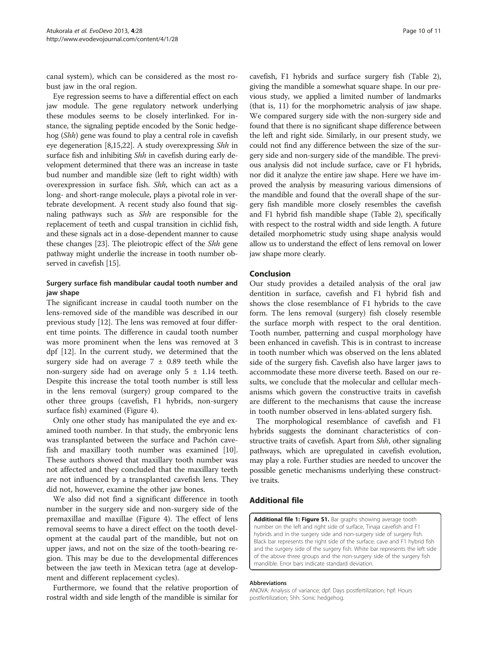<span id="page-9-0"></span>canal system), which can be considered as the most robust jaw in the oral region.

Eye regression seems to have a differential effect on each jaw module. The gene regulatory network underlying these modules seems to be closely interlinked. For instance, the signaling peptide encoded by the Sonic hedgehog (Shh) gene was found to play a central role in cavefish eye degeneration [[8,15,22\]](#page-10-0). A study overexpressing Shh in surface fish and inhibiting Shh in cavefish during early development determined that there was an increase in taste bud number and mandible size (left to right width) with overexpression in surface fish. Shh, which can act as a long- and short-range molecule, plays a pivotal role in vertebrate development. A recent study also found that signaling pathways such as Shh are responsible for the replacement of teeth and cuspal transition in cichlid fish, and these signals act in a dose-dependent manner to cause these changes [[23](#page-10-0)]. The pleiotropic effect of the Shh gene pathway might underlie the increase in tooth number observed in cavefish [\[15](#page-10-0)].

# Surgery surface fish mandibular caudal tooth number and jaw shape

The significant increase in caudal tooth number on the lens-removed side of the mandible was described in our previous study [\[12](#page-10-0)]. The lens was removed at four different time points. The difference in caudal tooth number was more prominent when the lens was removed at 3 dpf [[12](#page-10-0)]. In the current study, we determined that the surgery side had on average  $7 \pm 0.89$  teeth while the non-surgery side had on average only  $5 \pm 1.14$  teeth. Despite this increase the total tooth number is still less in the lens removal (surgery) group compared to the other three groups (cavefish, F1 hybrids, non-surgery surface fish) examined (Figure [4](#page-7-0)).

Only one other study has manipulated the eye and examined tooth number. In that study, the embryonic lens was transplanted between the surface and Pachón cavefish and maxillary tooth number was examined [\[10](#page-10-0)]. These authors showed that maxillary tooth number was not affected and they concluded that the maxillary teeth are not influenced by a transplanted cavefish lens. They did not, however, examine the other jaw bones.

We also did not find a significant difference in tooth number in the surgery side and non-surgery side of the premaxillae and maxillae (Figure [4\)](#page-7-0). The effect of lens removal seems to have a direct effect on the tooth development at the caudal part of the mandible, but not on upper jaws, and not on the size of the tooth-bearing region. This may be due to the developmental differences between the jaw teeth in Mexican tetra (age at development and different replacement cycles).

Furthermore, we found that the relative proportion of rostral width and side length of the mandible is similar for

cavefish, F1 hybrids and surface surgery fish (Table [2](#page-6-0)), giving the mandible a somewhat square shape. In our previous study, we applied a limited number of landmarks (that is, 11) for the morphometric analysis of jaw shape. We compared surgery side with the non-surgery side and found that there is no significant shape difference between the left and right side. Similarly, in our present study, we could not find any difference between the size of the surgery side and non-surgery side of the mandible. The previous analysis did not include surface, cave or F1 hybrids, nor did it analyze the entire jaw shape. Here we have improved the analysis by measuring various dimensions of the mandible and found that the overall shape of the surgery fish mandible more closely resembles the cavefish and F1 hybrid fish mandible shape (Table [2](#page-6-0)), specifically with respect to the rostral width and side length. A future detailed morphometric study using shape analysis would allow us to understand the effect of lens removal on lower jaw shape more clearly.

#### Conclusion

Our study provides a detailed analysis of the oral jaw dentition in surface, cavefish and F1 hybrid fish and shows the close resemblance of F1 hybrids to the cave form. The lens removal (surgery) fish closely resemble the surface morph with respect to the oral dentition. Tooth number, patterning and cuspal morphology have been enhanced in cavefish. This is in contrast to increase in tooth number which was observed on the lens ablated side of the surgery fish. Cavefish also have larger jaws to accommodate these more diverse teeth. Based on our results, we conclude that the molecular and cellular mechanisms which govern the constructive traits in cavefish are different to the mechanisms that cause the increase in tooth number observed in lens-ablated surgery fish.

The morphological resemblance of cavefish and F1 hybrids suggests the dominant characteristics of constructive traits of cavefish. Apart from Shh, other signaling pathways, which are upregulated in cavefish evolution, may play a role. Further studies are needed to uncover the possible genetic mechanisms underlying these constructive traits.

# Additional file

[Additional file 1: Figure S1.](http://www.biomedcentral.com/content/supplementary/2041-9139-4-28-S1.pptx) Bar graphs showing average tooth number on the left and right side of surface, Tinaja cavefish and F1 hybrids and in the surgery side and non-surgery side of surgery fish. Black bar represents the right side of the surface, cave and F1 hybrid fish and the surgery side of the surgery fish. White bar represents the left side of the above three groups and the non-surgery side of the surgery fish mandible. Error bars indicate standard deviation.

#### Abbreviations

ANOVA: Analysis of variance; dpf: Days postfertilization; hpf: Hours postfertilization; Shh: Sonic hedgehog.